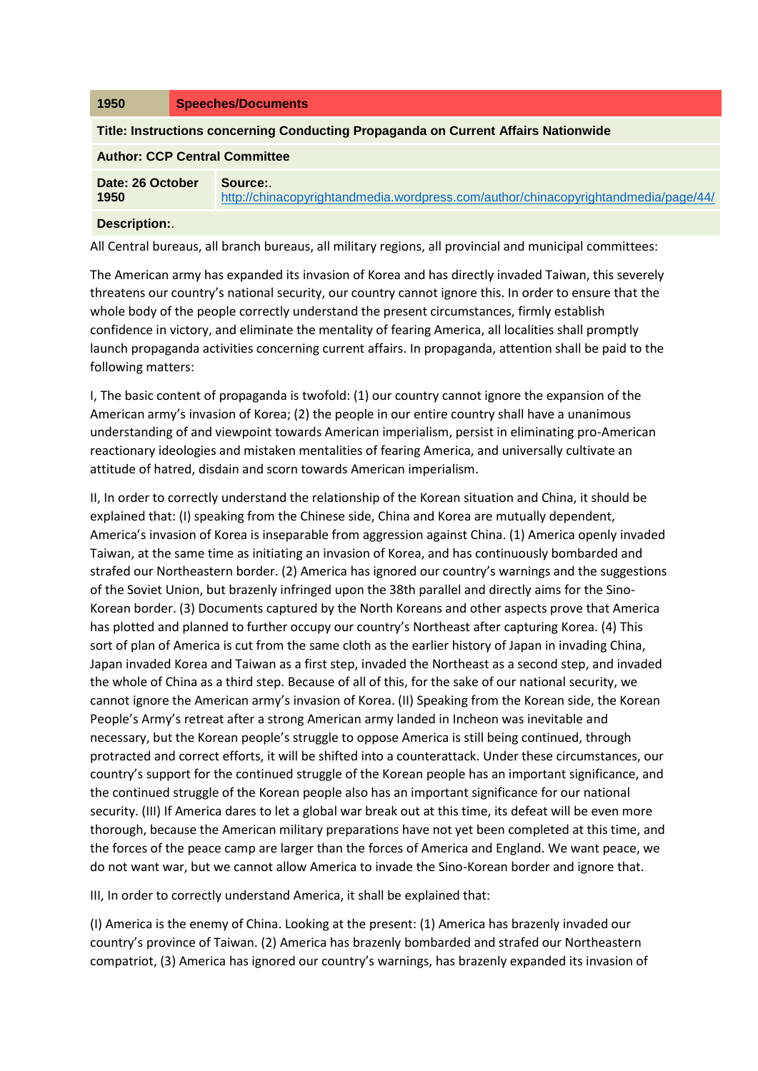| 1950                                                                                      | <b>Speeches/Documents</b>                                                                     |
|-------------------------------------------------------------------------------------------|-----------------------------------------------------------------------------------------------|
| <b>Title: Instructions concerning Conducting Propaganda on Current Affairs Nationwide</b> |                                                                                               |
| <b>Author: CCP Central Committee</b>                                                      |                                                                                               |
| Date: 26 October<br>1950                                                                  | Source:<br>http://chinacopyrightandmedia.wordpress.com/author/chinacopyrightandmedia/page/44/ |
| Docorintion:                                                                              |                                                                                               |

**Description:**.

All Central bureaus, all branch bureaus, all military regions, all provincial and municipal committees:

The American army has expanded its invasion of Korea and has directly invaded Taiwan, this severely threatens our country's national security, our country cannot ignore this. In order to ensure that the whole body of the people correctly understand the present circumstances, firmly establish confidence in victory, and eliminate the mentality of fearing America, all localities shall promptly launch propaganda activities concerning current affairs. In propaganda, attention shall be paid to the following matters:

I, The basic content of propaganda is twofold: (1) our country cannot ignore the expansion of the American army's invasion of Korea; (2) the people in our entire country shall have a unanimous understanding of and viewpoint towards American imperialism, persist in eliminating pro-American reactionary ideologies and mistaken mentalities of fearing America, and universally cultivate an attitude of hatred, disdain and scorn towards American imperialism.

II, In order to correctly understand the relationship of the Korean situation and China, it should be explained that: (I) speaking from the Chinese side, China and Korea are mutually dependent, America's invasion of Korea is inseparable from aggression against China. (1) America openly invaded Taiwan, at the same time as initiating an invasion of Korea, and has continuously bombarded and strafed our Northeastern border. (2) America has ignored our country's warnings and the suggestions of the Soviet Union, but brazenly infringed upon the 38th parallel and directly aims for the Sino-Korean border. (3) Documents captured by the North Koreans and other aspects prove that America has plotted and planned to further occupy our country's Northeast after capturing Korea. (4) This sort of plan of America is cut from the same cloth as the earlier history of Japan in invading China, Japan invaded Korea and Taiwan as a first step, invaded the Northeast as a second step, and invaded the whole of China as a third step. Because of all of this, for the sake of our national security, we cannot ignore the American army's invasion of Korea. (II) Speaking from the Korean side, the Korean People's Army's retreat after a strong American army landed in Incheon was inevitable and necessary, but the Korean people's struggle to oppose America is still being continued, through protracted and correct efforts, it will be shifted into a counterattack. Under these circumstances, our country's support for the continued struggle of the Korean people has an important significance, and the continued struggle of the Korean people also has an important significance for our national security. (III) If America dares to let a global war break out at this time, its defeat will be even more thorough, because the American military preparations have not yet been completed at this time, and the forces of the peace camp are larger than the forces of America and England. We want peace, we do not want war, but we cannot allow America to invade the Sino-Korean border and ignore that.

III, In order to correctly understand America, it shall be explained that:

(I) America is the enemy of China. Looking at the present: (1) America has brazenly invaded our country's province of Taiwan. (2) America has brazenly bombarded and strafed our Northeastern compatriot, (3) America has ignored our country's warnings, has brazenly expanded its invasion of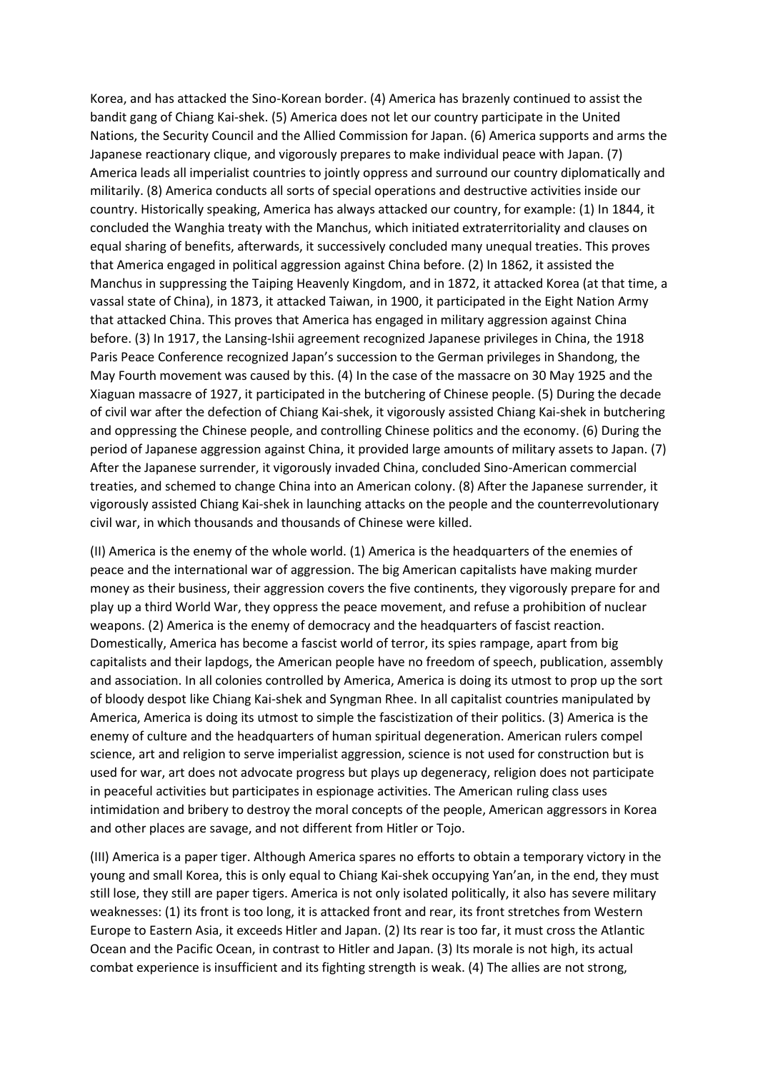Korea, and has attacked the Sino-Korean border. (4) America has brazenly continued to assist the bandit gang of Chiang Kai-shek. (5) America does not let our country participate in the United Nations, the Security Council and the Allied Commission for Japan. (6) America supports and arms the Japanese reactionary clique, and vigorously prepares to make individual peace with Japan. (7) America leads all imperialist countries to jointly oppress and surround our country diplomatically and militarily. (8) America conducts all sorts of special operations and destructive activities inside our country. Historically speaking, America has always attacked our country, for example: (1) In 1844, it concluded the Wanghia treaty with the Manchus, which initiated extraterritoriality and clauses on equal sharing of benefits, afterwards, it successively concluded many unequal treaties. This proves that America engaged in political aggression against China before. (2) In 1862, it assisted the Manchus in suppressing the Taiping Heavenly Kingdom, and in 1872, it attacked Korea (at that time, a vassal state of China), in 1873, it attacked Taiwan, in 1900, it participated in the Eight Nation Army that attacked China. This proves that America has engaged in military aggression against China before. (3) In 1917, the Lansing-Ishii agreement recognized Japanese privileges in China, the 1918 Paris Peace Conference recognized Japan's succession to the German privileges in Shandong, the May Fourth movement was caused by this. (4) In the case of the massacre on 30 May 1925 and the Xiaguan massacre of 1927, it participated in the butchering of Chinese people. (5) During the decade of civil war after the defection of Chiang Kai-shek, it vigorously assisted Chiang Kai-shek in butchering and oppressing the Chinese people, and controlling Chinese politics and the economy. (6) During the period of Japanese aggression against China, it provided large amounts of military assets to Japan. (7) After the Japanese surrender, it vigorously invaded China, concluded Sino-American commercial treaties, and schemed to change China into an American colony. (8) After the Japanese surrender, it vigorously assisted Chiang Kai-shek in launching attacks on the people and the counterrevolutionary civil war, in which thousands and thousands of Chinese were killed.

(II) America is the enemy of the whole world. (1) America is the headquarters of the enemies of peace and the international war of aggression. The big American capitalists have making murder money as their business, their aggression covers the five continents, they vigorously prepare for and play up a third World War, they oppress the peace movement, and refuse a prohibition of nuclear weapons. (2) America is the enemy of democracy and the headquarters of fascist reaction. Domestically, America has become a fascist world of terror, its spies rampage, apart from big capitalists and their lapdogs, the American people have no freedom of speech, publication, assembly and association. In all colonies controlled by America, America is doing its utmost to prop up the sort of bloody despot like Chiang Kai-shek and Syngman Rhee. In all capitalist countries manipulated by America, America is doing its utmost to simple the fascistization of their politics. (3) America is the enemy of culture and the headquarters of human spiritual degeneration. American rulers compel science, art and religion to serve imperialist aggression, science is not used for construction but is used for war, art does not advocate progress but plays up degeneracy, religion does not participate in peaceful activities but participates in espionage activities. The American ruling class uses intimidation and bribery to destroy the moral concepts of the people, American aggressors in Korea and other places are savage, and not different from Hitler or Tojo.

(III) America is a paper tiger. Although America spares no efforts to obtain a temporary victory in the young and small Korea, this is only equal to Chiang Kai-shek occupying Yan'an, in the end, they must still lose, they still are paper tigers. America is not only isolated politically, it also has severe military weaknesses: (1) its front is too long, it is attacked front and rear, its front stretches from Western Europe to Eastern Asia, it exceeds Hitler and Japan. (2) Its rear is too far, it must cross the Atlantic Ocean and the Pacific Ocean, in contrast to Hitler and Japan. (3) Its morale is not high, its actual combat experience is insufficient and its fighting strength is weak. (4) The allies are not strong,